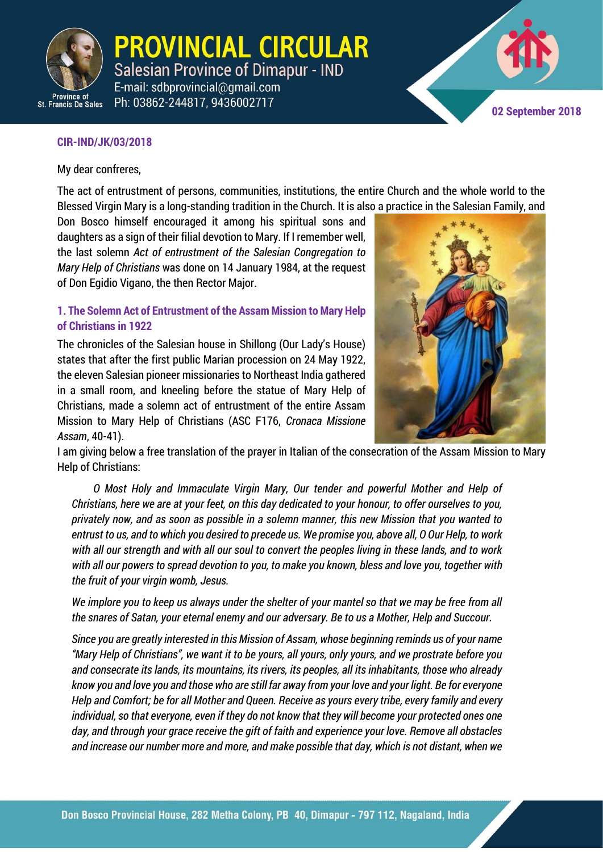

PROVINCIAL CIRCULAR **Salesian Province of Dimapur - IND** E-mail: sdbprovincial@gmail.com Ph: 03862-244817, 9436002717

**02 September 2018**

#### **CIR-IND/JK/03/2018**

My dear confreres,

The act of entrustment of persons, communities, institutions, the entire Church and the whole world to the Blessed Virgin Mary is a long-standing tradition in the Church. It is also a practice in the Salesian Family, and

Don Bosco himself encouraged it among his spiritual sons and daughters as a sign of their filial devotion to Mary. If I remember well, the last solemn *Act of entrustment of the Salesian Congregation to Mary Help of Christians* was done on 14 January 1984, at the request of Don Egidio Vigano, the then Rector Major.

#### **1. The Solemn Act of Entrustment of the Assam Mission to Mary Help of Christians in 1922**

The chronicles of the Salesian house in Shillong (Our Lady's House) states that after the first public Marian procession on 24 May 1922, the eleven Salesian pioneer missionaries to Northeast India gathered in a small room, and kneeling before the statue of Mary Help of Christians, made a solemn act of entrustment of the entire Assam Mission to Mary Help of Christians (ASC F176, *Cronaca Missione Assam*, 40-41).



I am giving below a free translation of the prayer in Italian of the consecration of the Assam Mission to Mary Help of Christians:

*O Most Holy and Immaculate Virgin Mary, Our tender and powerful Mother and Help of Christians, here we are at your feet, on this day dedicated to your honour, to offer ourselves to you, privately now, and as soon as possible in a solemn manner, this new Mission that you wanted to entrust to us, and to which you desired to precede us. We promise you, above all, O Our Help, to work with all our strength and with all our soul to convert the peoples living in these lands, and to work with all our powers to spread devotion to you, to make you known, bless and love you, together with the fruit of your virgin womb, Jesus.*

*We implore you to keep us always under the shelter of your mantel so that we may be free from all the snares of Satan, your eternal enemy and our adversary. Be to us a Mother, Help and Succour.* 

*Since you are greatly interested in this Mission of Assam, whose beginning reminds us of your name "Mary Help of Christians", we want it to be yours, all yours, only yours, and we prostrate before you and consecrate its lands, its mountains, its rivers, its peoples, all its inhabitants, those who already know you and love you and those who are still far away from your love and your light. Be for everyone Help and Comfort; be for all Mother and Queen. Receive as yours every tribe, every family and every individual, so that everyone, even if they do not know that they will become your protected ones one day, and through your grace receive the gift of faith and experience your love. Remove all obstacles and increase our number more and more, and make possible that day, which is not distant, when we*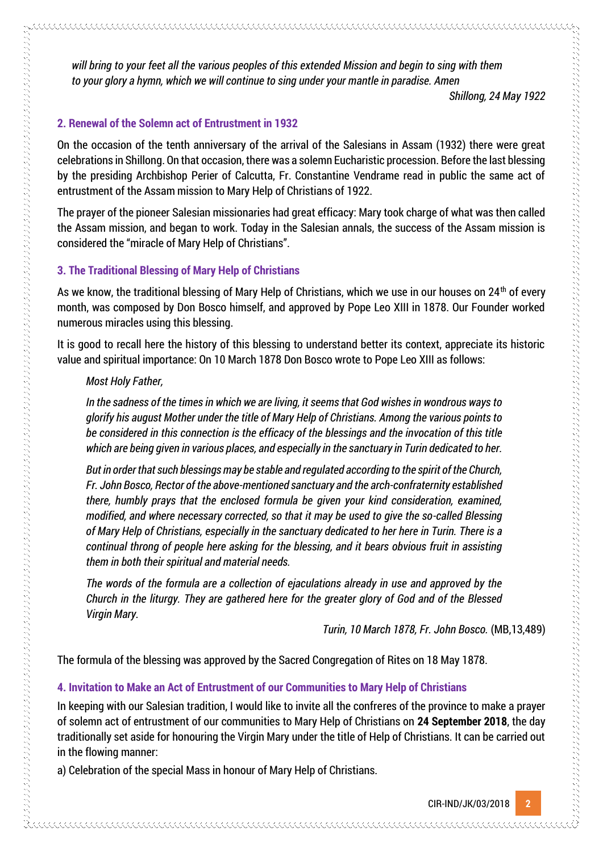*will bring to your feet all the various peoples of this extended Mission and begin to sing with them to your glory a hymn, which we will continue to sing under your mantle in paradise. Amen*

*Shillong, 24 May 1922*

#### **2. Renewal of the Solemn act of Entrustment in 1932**

On the occasion of the tenth anniversary of the arrival of the Salesians in Assam (1932) there were great celebrations in Shillong. On that occasion, there was a solemn Eucharistic procession. Before the last blessing by the presiding Archbishop Perier of Calcutta, Fr. Constantine Vendrame read in public the same act of entrustment of the Assam mission to Mary Help of Christians of 1922.

The prayer of the pioneer Salesian missionaries had great efficacy: Mary took charge of what was then called the Assam mission, and began to work. Today in the Salesian annals, the success of the Assam mission is considered the "miracle of Mary Help of Christians".

#### **3. The Traditional Blessing of Mary Help of Christians**

As we know, the traditional blessing of Mary Help of Christians, which we use in our houses on 24<sup>th</sup> of every month, was composed by Don Bosco himself, and approved by Pope Leo XIII in 1878. Our Founder worked numerous miracles using this blessing.

It is good to recall here the history of this blessing to understand better its context, appreciate its historic value and spiritual importance: On 10 March 1878 Don Bosco wrote to Pope Leo XIII as follows:

#### *Most Holy Father,*

しかい しょうしょう しょうこう しょうこう しょうこう こうしょう こうしょう こうしょう こうしょう こうしょう こうしょう こうしょう こうしょう こうしょう こうしょう こうしょう こうしょう こうこうこうこうこうこうこうこう

*In the sadness of the times in which we are living, it seems that God wishes in wondrous ways to glorify his august Mother under the title of Mary Help of Christians. Among the various points to be considered in this connection is the efficacy of the blessings and the invocation of this title which are being given in various places, and especially in the sanctuary in Turin dedicated to her.* 

*But in order that such blessings may be stable and regulated according to the spirit of the Church, Fr. John Bosco, Rector of the above-mentioned sanctuary and the arch-confraternity established there, humbly prays that the enclosed formula be given your kind consideration, examined, modified, and where necessary corrected, so that it may be used to give the so-called Blessing of Mary Help of Christians, especially in the sanctuary dedicated to her here in Turin. There is a continual throng of people here asking for the blessing, and it bears obvious fruit in assisting them in both their spiritual and material needs.* 

*The words of the formula are a collection of ejaculations already in use and approved by the Church in the liturgy. They are gathered here for the greater glory of God and of the Blessed Virgin Mary.* 

*Turin, 10 March 1878, Fr. John Bosco.* (MB,13,489)

The formula of the blessing was approved by the Sacred Congregation of Rites on 18 May 1878.

#### **4. Invitation to Make an Act of Entrustment of our Communities to Mary Help of Christians**

In keeping with our Salesian tradition, I would like to invite all the confreres of the province to make a prayer of solemn act of entrustment of our communities to Mary Help of Christians on **24 September 2018**, the day traditionally set aside for honouring the Virgin Mary under the title of Help of Christians. It can be carried out in the flowing manner:

a) Celebration of the special Mass in honour of Mary Help of Christians.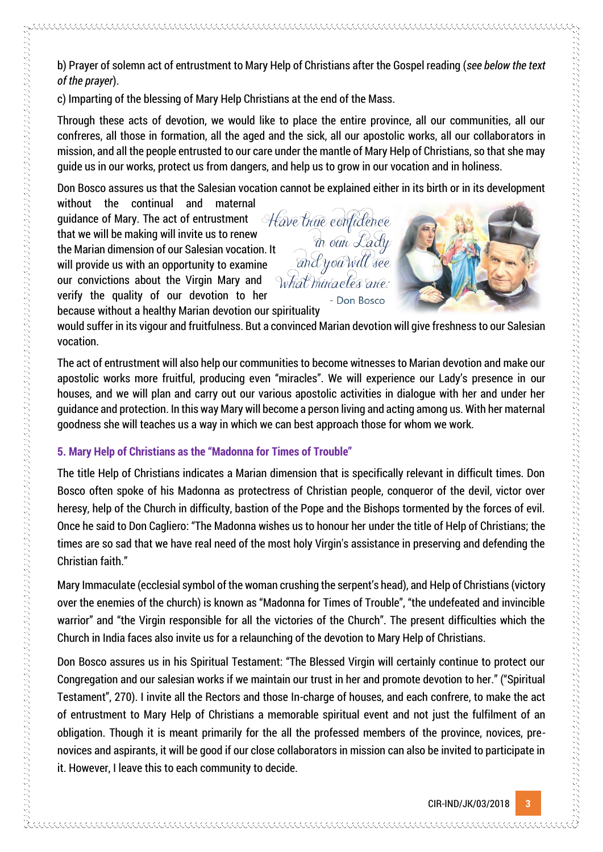b) Prayer of solemn act of entrustment to Mary Help of Christians after the Gospel reading (*see below the text of the prayer*).

c) Imparting of the blessing of Mary Help Christians at the end of the Mass.

Through these acts of devotion, we would like to place the entire province, all our communities, all our confreres, all those in formation, all the aged and the sick, all our apostolic works, all our collaborators in mission, and all the people entrusted to our care under the mantle of Mary Help of Christians, so that she may guide us in our works, protect us from dangers, and help us to grow in our vocation and in holiness.

Don Bosco assures us that the Salesian vocation cannot be explained either in its birth or in its development

without the continual and maternal guidance of Mary. The act of entrustment guidance of Mary. The act of entrustment  $\forall$  and the confidence that we will be making will invite us to renew that we will be making will invite us to renew<br>the Marian dimension of our Salesian vocation. It<br>will provide us with an opportunity to examine<br>our convictions about the Virgin Mary and<br> $\sqrt{h}$  what this actes are: will provide us with an opportunity to examine our convictions about the Virgin Mary and verify the quality of our devotion to her because without a healthy Marian devotion our spirituality



would suffer in its vigour and fruitfulness. But a convinced Marian devotion will give freshness to our Salesian vocation.

Don Bosco

The act of entrustment will also help our communities to become witnesses to Marian devotion and make our apostolic works more fruitful, producing even "miracles". We will experience our Lady's presence in our houses, and we will plan and carry out our various apostolic activities in dialogue with her and under her guidance and protection. In this way Mary will become a person living and acting among us. With her maternal goodness she will teaches us a way in which we can best approach those for whom we work.

# **5. Mary Help of Christians as the "Madonna for Times of Trouble"**

The title Help of Christians indicates a Marian dimension that is specifically relevant in difficult times. Don Bosco often spoke of his Madonna as protectress of Christian people, conqueror of the devil, victor over heresy, help of the Church in difficulty, bastion of the Pope and the Bishops tormented by the forces of evil. Once he said to Don Cagliero: "The Madonna wishes us to honour her under the title of Help of Christians; the times are so sad that we have real need of the most holy Virgin's assistance in preserving and defending the Christian faith."

Mary Immaculate (ecclesial symbol of the woman crushing the serpent's head), and Help of Christians (victory over the enemies of the church) is known as "Madonna for Times of Trouble", "the undefeated and invincible warrior" and "the Virgin responsible for all the victories of the Church". The present difficulties which the Church in India faces also invite us for a relaunching of the devotion to Mary Help of Christians.

Don Bosco assures us in his Spiritual Testament: "The Blessed Virgin will certainly continue to protect our Congregation and our salesian works if we maintain our trust in her and promote devotion to her." ("Spiritual Testament", 270). I invite all the Rectors and those In-charge of houses, and each confrere, to make the act of entrustment to Mary Help of Christians a memorable spiritual event and not just the fulfilment of an obligation. Though it is meant primarily for the all the professed members of the province, novices, prenovices and aspirants, it will be good if our close collaborators in mission can also be invited to participate in it. However, I leave this to each community to decide.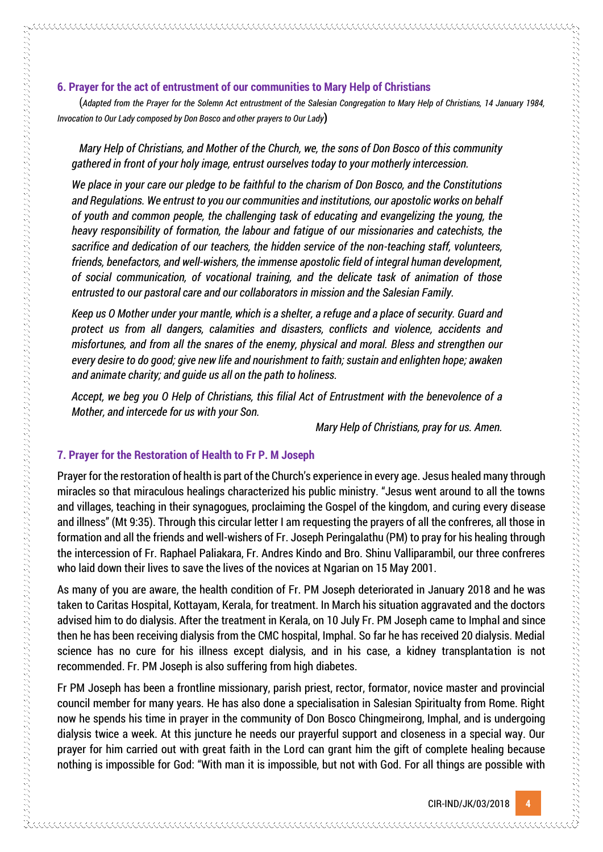(*Adapted from the Prayer for the Solemn Act entrustment of the Salesian Congregation to Mary Help of Christians, 14 January 1984, Invocation to Our Lady composed by Don Bosco and other prayers to Our Lady***)** 

*Mary Help of Christians, and Mother of the Church, we, the sons of Don Bosco of this community gathered in front of your holy image, entrust ourselves today to your motherly intercession.*

*We place in your care our pledge to be faithful to the charism of Don Bosco, and the Constitutions and Regulations. We entrust to you our communities and institutions, our apostolic works on behalf of youth and common people, the challenging task of educating and evangelizing the young, the heavy responsibility of formation, the labour and fatigue of our missionaries and catechists, the sacrifice and dedication of our teachers, the hidden service of the non-teaching staff, volunteers, friends, benefactors, and well-wishers, the immense apostolic field of integral human development, of social communication, of vocational training, and the delicate task of animation of those entrusted to our pastoral care and our collaborators in mission and the Salesian Family.* 

*Keep us O Mother under your mantle, which is a shelter, a refuge and a place of security. Guard and protect us from all dangers, calamities and disasters, conflicts and violence, accidents and misfortunes, and from all the snares of the enemy, physical and moral. Bless and strengthen our every desire to do good; give new life and nourishment to faith; sustain and enlighten hope; awaken and animate charity; and guide us all on the path to holiness.*

*Accept, we beg you O Help of Christians, this filial Act of Entrustment with the benevolence of a Mother, and intercede for us with your Son.* 

*Mary Help of Christians, pray for us. Amen.* 

#### **7. Prayer for the Restoration of Health to Fr P. M Joseph**

Prayer for the restoration of health is part of the Church's experience in every age. Jesus healed many through miracles so that miraculous healings characterized his public ministry. "Jesus went around to all the towns and villages, teaching in their synagogues, proclaiming the Gospel of the kingdom, and curing every disease and illness" (Mt 9:35). Through this circular letter I am requesting the prayers of all the confreres, all those in formation and all the friends and well-wishers of Fr. Joseph Peringalathu (PM) to pray for his healing through the intercession of Fr. Raphael Paliakara, Fr. Andres Kindo and Bro. Shinu Valliparambil, our three confreres who laid down their lives to save the lives of the novices at Ngarian on 15 May 2001.

As many of you are aware, the health condition of Fr. PM Joseph deteriorated in January 2018 and he was taken to Caritas Hospital, Kottayam, Kerala, for treatment. In March his situation aggravated and the doctors advised him to do dialysis. After the treatment in Kerala, on 10 July Fr. PM Joseph came to Imphal and since then he has been receiving dialysis from the CMC hospital, Imphal. So far he has received 20 dialysis. Medial science has no cure for his illness except dialysis, and in his case, a kidney transplantation is not recommended. Fr. PM Joseph is also suffering from high diabetes.

Fr PM Joseph has been a frontline missionary, parish priest, rector, formator, novice master and provincial council member for many years. He has also done a specialisation in Salesian Spiritualty from Rome. Right now he spends his time in prayer in the community of Don Bosco Chingmeirong, Imphal, and is undergoing dialysis twice a week. At this juncture he needs our prayerful support and closeness in a special way. Our prayer for him carried out with great faith in the Lord can grant him the gift of complete healing because nothing is impossible for God: "With man it is impossible, but not with God. For all things are possible with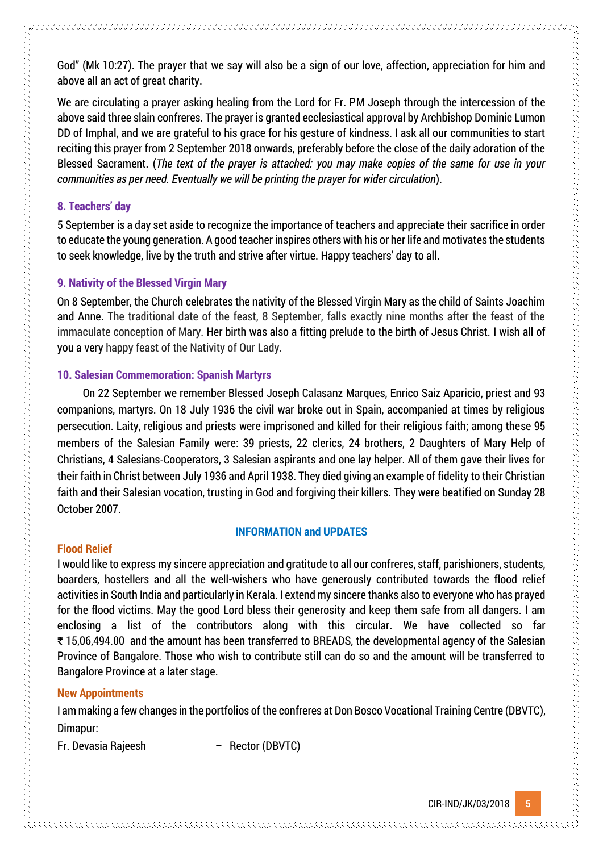God" (Mk 10:27). The prayer that we say will also be a sign of our love, affection, appreciation for him and above all an act of great charity.

We are circulating a prayer asking healing from the Lord for Fr. PM Joseph through the intercession of the above said three slain confreres. The prayer is granted ecclesiastical approval by Archbishop Dominic Lumon DD of Imphal, and we are grateful to his grace for his gesture of kindness. I ask all our communities to start reciting this prayer from 2 September 2018 onwards, preferably before the close of the daily adoration of the Blessed Sacrament. (*The text of the prayer is attached: you may make copies of the same for use in your communities as per need. Eventually we will be printing the prayer for wider circulation*).

## **8. Teachers' day**

5 September is a day set aside to recognize the importance of teachers and appreciate their sacrifice in order to educate the young generation. A good teacher inspires others with his or her life and motivates the students to seek knowledge, live by the truth and strive after virtue. Happy teachers' day to all.

## **9. Nativity of the Blessed Virgin Mary**

On 8 September, the Church celebrates the nativity of the Blessed Virgin Mary as the child of Saints Joachim and Anne. The traditional date of the feast, 8 September, falls exactly nine months after the feast of the immaculate conception of Mary. Her birth was also a fitting prelude to the birth of Jesus Christ. I wish all of you a very happy feast of the Nativity of Our Lady.

## **10. Salesian Commemoration: Spanish Martyrs**

On 22 September we remember Blessed Joseph Calasanz Marques, Enrico Saiz Aparicio, priest and 93 companions, martyrs. On 18 July 1936 the civil war broke out in Spain, accompanied at times by religious persecution. Laity, religious and priests were imprisoned and killed for their religious faith; among these 95 members of the Salesian Family were: 39 priests, 22 clerics, 24 brothers, 2 Daughters of Mary Help of Christians, 4 Salesians-Cooperators, 3 Salesian aspirants and one lay helper. All of them gave their lives for their faith in Christ between July 1936 and April 1938. They died giving an example of fidelity to their Christian faith and their Salesian vocation, trusting in God and forgiving their killers. They were beatified on Sunday 28 October 2007.

#### **INFORMATION and UPDATES**

# **Flood Relief**

しかい しょうしょう しょうしょう しょうこう こうしょう こうしょう こうしょう こうしょう こうしょう こうしょう こうしょう こうしょう こうしょう こうしょう こうしょう こうしょう こうしょう こうしょう しょうこうしょう こうしょう こうしょう こうしょう

I would like to express my sincere appreciation and gratitude to all our confreres, staff, parishioners, students, boarders, hostellers and all the well-wishers who have generously contributed towards the flood relief activities in South India and particularly in Kerala. I extend my sincere thanks also to everyone who has prayed for the flood victims. May the good Lord bless their generosity and keep them safe from all dangers. I am enclosing a list of the contributors along with this circular. We have collected so far ₹15,06,494.00 and the amount has been transferred to BREADS, the developmental agency of the Salesian Province of Bangalore. Those who wish to contribute still can do so and the amount will be transferred to Bangalore Province at a later stage.

## **New Appointments**

I am making a few changes in the portfolios of the confreres at Don Bosco Vocational Training Centre (DBVTC), Dimapur:

Fr. Devasia Rajeesh – Rector (DBVTC)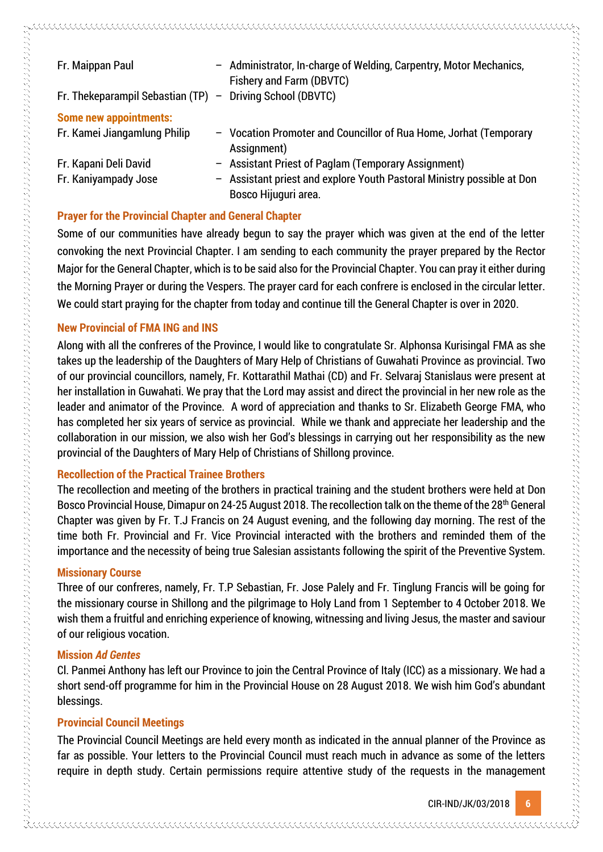| Fr. Maippan Paul                     | - Administrator, In-charge of Welding, Carpentry, Motor Mechanics,<br>Fishery and Farm (DBVTC) |
|--------------------------------------|------------------------------------------------------------------------------------------------|
| Fr. Thekeparampil Sebastian $(TP)$ – | Driving School (DBVTC)                                                                         |
| <b>Some new appointments:</b>        |                                                                                                |
| Fr. Kamei Jiangamlung Philip         | - Vocation Promoter and Councillor of Rua Home, Jorhat (Temporary<br>Assignment)               |
| Fr. Kapani Deli David                | - Assistant Priest of Paglam (Temporary Assignment)                                            |
| Fr. Kaniyampady Jose                 | - Assistant priest and explore Youth Pastoral Ministry possible at Don                         |
|                                      | Bosco Hijuguri area.                                                                           |

## **Prayer for the Provincial Chapter and General Chapter**

Some of our communities have already begun to say the prayer which was given at the end of the letter convoking the next Provincial Chapter. I am sending to each community the prayer prepared by the Rector Major for the General Chapter, which is to be said also for the Provincial Chapter. You can pray it either during the Morning Prayer or during the Vespers. The prayer card for each confrere is enclosed in the circular letter. We could start praying for the chapter from today and continue till the General Chapter is over in 2020.

## **New Provincial of FMA ING and INS**

Along with all the confreres of the Province, I would like to congratulate Sr. Alphonsa Kurisingal FMA as she takes up the leadership of the Daughters of Mary Help of Christians of Guwahati Province as provincial. Two of our provincial councillors, namely, Fr. Kottarathil Mathai (CD) and Fr. Selvaraj Stanislaus were present at her installation in Guwahati. We pray that the Lord may assist and direct the provincial in her new role as the leader and animator of the Province. A word of appreciation and thanks to Sr. Elizabeth George FMA, who has completed her six years of service as provincial. While we thank and appreciate her leadership and the collaboration in our mission, we also wish her God's blessings in carrying out her responsibility as the new provincial of the Daughters of Mary Help of Christians of Shillong province.

## **Recollection of the Practical Trainee Brothers**

The recollection and meeting of the brothers in practical training and the student brothers were held at Don Bosco Provincial House, Dimapur on 24-25 August 2018. The recollection talk on the theme of the 28<sup>th</sup> General Chapter was given by Fr. T.J Francis on 24 August evening, and the following day morning. The rest of the time both Fr. Provincial and Fr. Vice Provincial interacted with the brothers and reminded them of the importance and the necessity of being true Salesian assistants following the spirit of the Preventive System.

#### **Missionary Course**

Three of our confreres, namely, Fr. T.P Sebastian, Fr. Jose Palely and Fr. Tinglung Francis will be going for the missionary course in Shillong and the pilgrimage to Holy Land from 1 September to 4 October 2018. We wish them a fruitful and enriching experience of knowing, witnessing and living Jesus, the master and saviour of our religious vocation.

#### **Mission** *Ad Gentes*

Cl. Panmei Anthony has left our Province to join the Central Province of Italy (ICC) as a missionary. We had a short send-off programme for him in the Provincial House on 28 August 2018. We wish him God's abundant blessings.

## **Provincial Council Meetings**

The Provincial Council Meetings are held every month as indicated in the annual planner of the Province as far as possible. Your letters to the Provincial Council must reach much in advance as some of the letters require in depth study. Certain permissions require attentive study of the requests in the management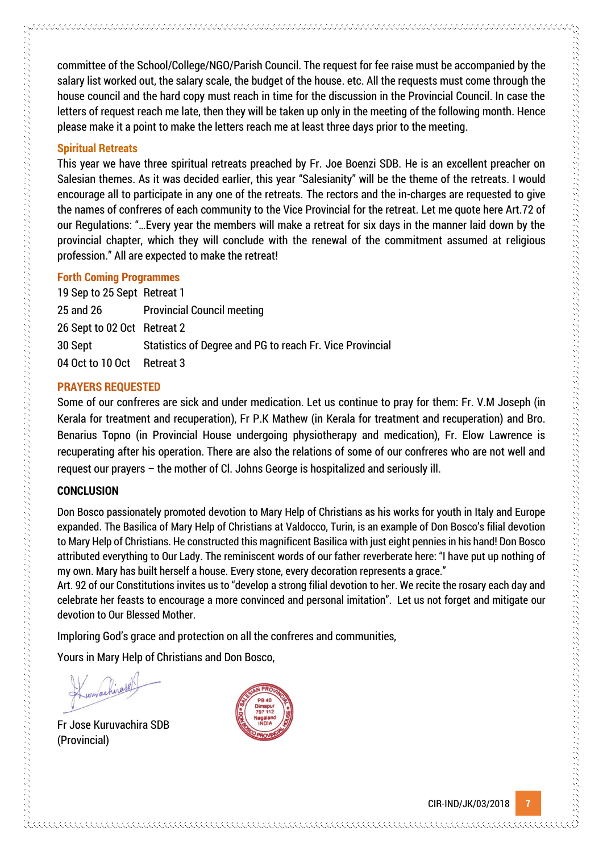committee of the School/College/NGO/Parish Council. The request for fee raise must be accompanied by the salary list worked out, the salary scale, the budget of the house. etc. All the requests must come through the house council and the hard copy must reach in time for the discussion in the Provincial Council. In case the letters of request reach me late, then they will be taken up only in the meeting of the following month. Hence please make it a point to make the letters reach me at least three days prior to the meeting.

## **Spiritual Retreats**

This year we have three spiritual retreats preached by Fr. Joe Boenzi SDB. He is an excellent preacher on Salesian themes. As it was decided earlier, this year "Salesianity" will be the theme of the retreats. I would encourage all to participate in any one of the retreats. The rectors and the in-charges are requested to give the names of confreres of each community to the Vice Provincial for the retreat. Let me quote here Art.72 of our Regulations: "…Every year the members will make a retreat for six days in the manner laid down by the provincial chapter, which they will conclude with the renewal of the commitment assumed at religious profession." All are expected to make the retreat!

## **Forth Coming Programmes**

19 Sep to 25 Sept Retreat 1 25 and 26 Provincial Council meeting 26 Sept to 02 Oct Retreat 2 30 Sept Statistics of Degree and PG to reach Fr. Vice Provincial 04 Oct to 10 Oct Retreat 3

## **PRAYERS REQUESTED**

Some of our confreres are sick and under medication. Let us continue to pray for them: Fr. V.M Joseph (in Kerala for treatment and recuperation), Fr P.K Mathew (in Kerala for treatment and recuperation) and Bro. Benarius Topno (in Provincial House undergoing physiotherapy and medication), Fr. Elow Lawrence is recuperating after his operation. There are also the relations of some of our confreres who are not well and request our prayers – the mother of Cl. Johns George is hospitalized and seriously ill.

# **CONCLUSION**

的复数形式 医阿拉伯氏病 医阿拉伯氏征 医阿拉伯氏征 医阿拉伯氏征 医阿拉伯氏征 医阿拉伯氏征 医阿拉伯氏征 医阿拉伯氏征 医阿拉伯氏征 医阿拉伯氏征 医阿拉伯氏征 医阿拉伯氏征 医阿拉伯氏征 医阿拉伯氏征 医阿拉伯氏征 医阿拉伯氏征 医阿拉伯氏征 医阿拉伯氏征 医阿拉伯氏征 医阿拉伯氏征 医阿拉伯氏征 医阿拉伯氏征 医阿拉伯氏征 医阿拉伯氏征 医阿拉伯氏征 医阿拉伯氏征 医阿拉伯氏征 医阿拉伯氏征 医阿拉伯氏征 医阿拉伯氏征 医阿拉伯氏征

Don Bosco passionately promoted devotion to Mary Help of Christians as his works for youth in Italy and Europe expanded. The Basilica of Mary Help of Christians at Valdocco, Turin, is an example of Don Bosco's filial devotion to Mary Help of Christians. He constructed this magnificent Basilica with just eight pennies in his hand! Don Bosco attributed everything to Our Lady. The reminiscent words of our father reverberate here: "I have put up nothing of my own. Mary has built herself a house. Every stone, every decoration represents a grace."

Art. 92 of our Constitutions invites us to "develop a strong filial devotion to her. We recite the rosary each day and celebrate her feasts to encourage a more convinced and personal imitation". Let us not forget and mitigate our devotion to Our Blessed Mother.

Imploring God's grace and protection on all the confreres and communities,

Yours in Mary Help of Christians and Don Bosco,

Fr Jose Kuruvachira SDB (Provincial)